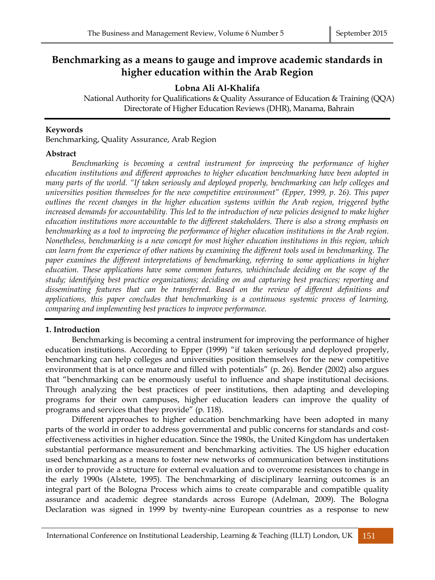# **Benchmarking as a means to gauge and improve academic standards in higher education within the Arab Region**

# **Lobna Ali Al-Khalifa**

National Authority for Qualifications & Quality Assurance of Education & Training (QQA) Directorate of Higher Education Reviews (DHR), Manama, Bahrain

# **Keywords**

Benchmarking, Quality Assurance, Arab Region

# **Abstract**

*Benchmarking is becoming a central instrument for improving the performance of higher education institutions and different approaches to higher education benchmarking have been adopted in many parts of the world. "If taken seriously and deployed properly, benchmarking can help colleges and universities position themselves for the new competitive environment" (Epper, 1999, p. 26). This paper outlines the recent changes in the higher education systems within the Arab region, triggered bythe increased demands for accountability. This led to the introduction of new policies designed to make higher education institutions more accountable to the different stakeholders. There is also a strong emphasis on benchmarking as a tool to improving the performance of higher education institutions in the Arab region. Nonetheless, benchmarking is a new concept for most higher education institutions in this region, which can learn from the experience of other nations by examining the different tools used in benchmarking. The paper examines the different interpretations of benchmarking, referring to some applications in higher education. These applications have some common features, whichinclude deciding on the scope of the study; identifying best practice organizations; deciding on and capturing best practices; reporting and disseminating features that can be transferred. Based on the review of different definitions and applications, this paper concludes that benchmarking is a continuous systemic process of learning, comparing and implementing best practices to improve performance.* 

# **1. Introduction**

Benchmarking is becoming a central instrument for improving the performance of higher education institutions. According to Epper (1999) "if taken seriously and deployed properly, benchmarking can help colleges and universities position themselves for the new competitive environment that is at once mature and filled with potentials" (p. 26). Bender (2002) also argues that "benchmarking can be enormously useful to influence and shape institutional decisions. Through analyzing the best practices of peer institutions, then adapting and developing programs for their own campuses, higher education leaders can improve the quality of programs and services that they provide" (p. 118).

Different approaches to higher education benchmarking have been adopted in many parts of the world in order to address governmental and public concerns for standards and costeffectiveness activities in higher education. Since the 1980s, the United Kingdom has undertaken substantial performance measurement and benchmarking activities. The US higher education used benchmarking as a means to foster new networks of communication between institutions in order to provide a structure for external evaluation and to overcome resistances to change in the early 1990s (Alstete, 1995). The benchmarking of disciplinary learning outcomes is an integral part of the Bologna Process which aims to create comparable and compatible quality assurance and academic degree standards across Europe (Adelman, 2009). The Bologna Declaration was signed in 1999 by twenty-nine European countries as a response to new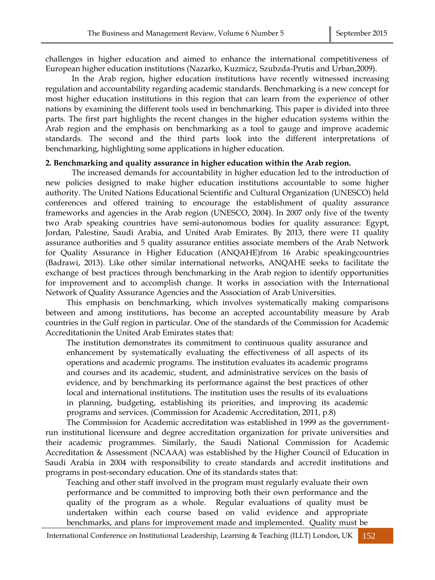challenges in higher education and aimed to enhance the international competitiveness of European higher education institutions (Nazarko, Kuzmicz, Szubzda-Prutis and Urban,2009).

In the Arab region, higher education institutions have recently witnessed increasing regulation and accountability regarding academic standards. Benchmarking is a new concept for most higher education institutions in this region that can learn from the experience of other nations by examining the different tools used in benchmarking. This paper is divided into three parts. The first part highlights the recent changes in the higher education systems within the Arab region and the emphasis on benchmarking as a tool to gauge and improve academic standards. The second and the third parts look into the different interpretations of benchmarking, highlighting some applications in higher education.

#### **2. Benchmarking and quality assurance in higher education within the Arab region.**

The increased demands for accountability in higher education led to the introduction of new policies designed to make higher education institutions accountable to some higher authority. The United Nations Educational Scientific and Cultural Organization (UNESCO) held conferences and offered training to encourage the establishment of quality assurance frameworks and agencies in the Arab region (UNESCO, 2004). In 2007 only five of the twenty two Arab speaking countries have semi-autonomous bodies for quality assurance: Egypt, Jordan, Palestine, Saudi Arabia, and United Arab Emirates. By 2013, there were 11 quality assurance authorities and 5 quality assurance entities associate members of the Arab Network for Quality Assurance in Higher Education (ANQAHE)from 16 Arabic speakingcountries (Badrawi, 2013). Like other similar international networks, ANQAHE seeks to facilitate the exchange of best practices through benchmarking in the Arab region to identify opportunities for improvement and to accomplish change. It works in association with the International Network of Quality Assurance Agencies and the Association of Arab Universities.

This emphasis on benchmarking, which involves systematically making comparisons between and among institutions, has become an accepted accountability measure by Arab countries in the Gulf region in particular. One of the standards of the Commission for Academic Accreditationin the United Arab Emirates states that:

The institution demonstrates its commitment to continuous quality assurance and enhancement by systematically evaluating the effectiveness of all aspects of its operations and academic programs. The institution evaluates its academic programs and courses and its academic, student, and administrative services on the basis of evidence, and by benchmarking its performance against the best practices of other local and international institutions. The institution uses the results of its evaluations in planning, budgeting, establishing its priorities, and improving its academic programs and services. (Commission for Academic Accreditation, 2011, p.8)

The Commission for Academic accreditation was established in 1999 as the governmentrun institutional [licensure](http://en.wikipedia.org/wiki/Licensure) and degree [accreditation](http://en.wikipedia.org/wiki/Academic_accreditation) organization for private universities and their academic programmes. Similarly, the Saudi National Commission for Academic Accreditation & Assessment (NCAAA) was established by the Higher Council of Education in Saudi Arabia in 2004 with responsibility to create standards and accredit institutions and programs in post-secondary education. One of its standards states that:

Teaching and other staff involved in the program must regularly evaluate their own performance and be committed to improving both their own performance and the quality of the program as a whole. Regular evaluations of quality must be undertaken within each course based on valid evidence and appropriate benchmarks, and plans for improvement made and implemented. Quality must be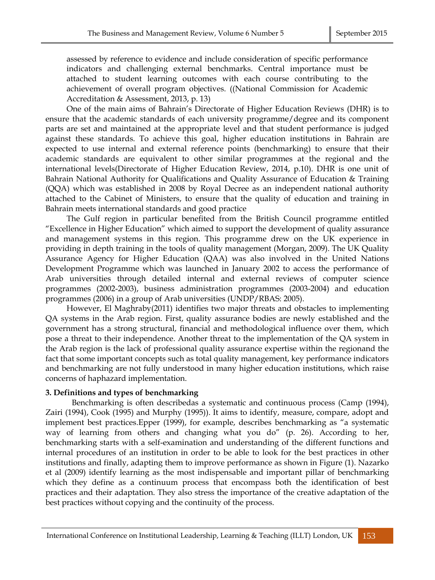assessed by reference to evidence and include consideration of specific performance indicators and challenging external benchmarks. Central importance must be attached to student learning outcomes with each course contributing to the achievement of overall program objectives. ((National Commission for Academic Accreditation & Assessment, 2013, p. 13)

One of the main aims of Bahrain's Directorate of Higher Education Reviews (DHR) is to ensure that the academic standards of each university programme/degree and its component parts are set and maintained at the appropriate level and that student performance is judged against these standards. To achieve this goal, higher education institutions in Bahrain are expected to use internal and external reference points (benchmarking) to ensure that their academic standards are equivalent to other similar programmes at the regional and the international levels(Directorate of Higher Education Review, 2014, p.10). DHR is one unit of Bahrain National Authority for Qualifications and Quality Assurance of Education & Training (QQA) which was established in 2008 by Royal Decree as an independent national authority attached to the Cabinet of Ministers, to ensure that the quality of education and training in Bahrain meets international standards and good practice

The Gulf region in particular benefited from the British Council programme entitled "Excellence in Higher Education" which aimed to support the development of quality assurance and management systems in this region. This programme drew on the UK experience in providing in depth training in the tools of quality management (Morgan, 2009). The UK Quality Assurance Agency for Higher Education (QAA) was also involved in the United Nations Development Programme which was launched in January 2002 to access the performance of Arab universities through detailed internal and external reviews of computer science programmes (2002-2003), business administration programmes (2003-2004) and education programmes (2006) in a group of Arab universities (UNDP/RBAS: 2005).

However, El Maghraby(2011) identifies two major threats and obstacles to implementing QA systems in the Arab region. First, quality assurance bodies are newly established and the government has a strong structural, financial and methodological influence over them, which pose a threat to their independence. Another threat to the implementation of the QA system in the Arab region is the lack of professional quality assurance expertise within the regionand the fact that some important concepts such as total quality management, key performance indicators and benchmarking are not fully understood in many higher education institutions, which raise concerns of haphazard implementation.

## **3. Definitions and types of benchmarking**

Benchmarking is often describedas a systematic and continuous process (Camp (1994), Zairi (1994), Cook (1995) and Murphy (1995)). It aims to identify, measure, compare, adopt and implement best practices.Epper (1999), for example, describes benchmarking as "a systematic way of learning from others and changing what you do" (p. 26). According to her, benchmarking starts with a self-examination and understanding of the different functions and internal procedures of an institution in order to be able to look for the best practices in other institutions and finally, adapting them to improve performance as shown in Figure (1). Nazarko et al (2009) identify learning as the most indispensable and important pillar of benchmarking which they define as a continuum process that encompass both the identification of best practices and their adaptation. They also stress the importance of the creative adaptation of the best practices without copying and the continuity of the process.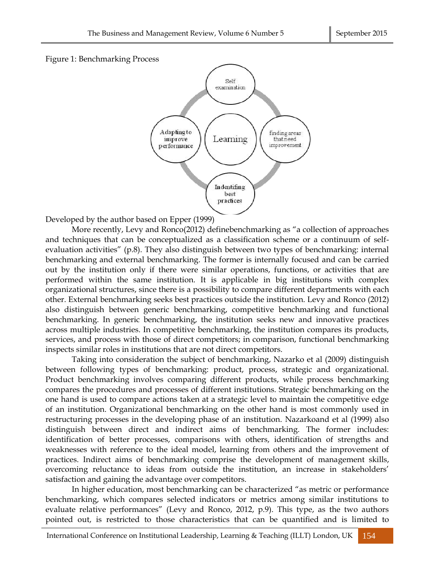



Developed by the author based on Epper (1999)

More recently, Levy and Ronco(2012) definebenchmarking as "a collection of approaches and techniques that can be conceptualized as a classification scheme or a continuum of selfevaluation activities" (p.8). They also distinguish between two types of benchmarking: internal benchmarking and external benchmarking. The former is internally focused and can be carried out by the institution only if there were similar operations, functions, or activities that are performed within the same institution. It is applicable in big institutions with complex organizational structures, since there is a possibility to compare different departments with each other. External benchmarking seeks best practices outside the institution. Levy and Ronco (2012) also distinguish between generic benchmarking, competitive benchmarking and functional benchmarking. In generic benchmarking, the institution seeks new and innovative practices across multiple industries. In competitive benchmarking, the institution compares its products, services, and process with those of direct competitors; in comparison, functional benchmarking inspects similar roles in institutions that are not direct competitors.

Taking into consideration the subject of benchmarking, Nazarko et al (2009) distinguish between following types of benchmarking: product, process, strategic and organizational. Product benchmarking involves comparing different products, while process benchmarking compares the procedures and processes of different institutions. Strategic benchmarking on the one hand is used to compare actions taken at a strategic level to maintain the competitive edge of an institution. Organizational benchmarking on the other hand is most commonly used in restructuring processes in the developing phase of an institution. Nazarkoand et al (1999) also distinguish between direct and indirect aims of benchmarking. The former includes: identification of better processes, comparisons with others, identification of strengths and weaknesses with reference to the ideal model, learning from others and the improvement of practices. Indirect aims of benchmarking comprise the development of management skills, overcoming reluctance to ideas from outside the institution, an increase in stakeholders' satisfaction and gaining the advantage over competitors.

In higher education, most benchmarking can be characterized "as metric or performance benchmarking, which compares selected indicators or metrics among similar institutions to evaluate relative performances" (Levy and Ronco, 2012, p.9). This type, as the two authors pointed out, is restricted to those characteristics that can be quantified and is limited to

International Conference on Institutional Leadership, Learning & Teaching (ILLT) London, UK 154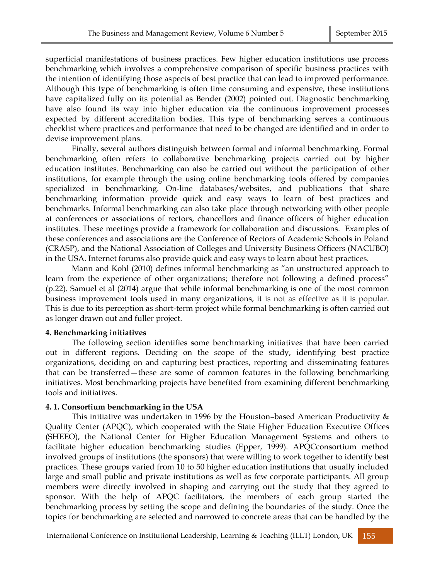superficial manifestations of business practices. Few higher education institutions use process benchmarking which involves a comprehensive comparison of specific business practices with the intention of identifying those aspects of best practice that can lead to improved performance. Although this type of benchmarking is often time consuming and expensive, these institutions have capitalized fully on its potential as Bender (2002) pointed out. Diagnostic benchmarking have also found its way into higher education via the continuous improvement processes expected by different accreditation bodies. This type of benchmarking serves a continuous checklist where practices and performance that need to be changed are identified and in order to devise improvement plans.

Finally, several authors distinguish between formal and informal benchmarking. Formal benchmarking often refers to collaborative benchmarking projects carried out by higher education institutes. Benchmarking can also be carried out without the participation of other institutions, for example through the using online benchmarking tools offered by companies specialized in benchmarking. On-line databases/websites, and publications that share benchmarking information provide quick and easy ways to learn of best practices and benchmarks. Informal benchmarking can also take place through networking with other people at conferences or associations of rectors, chancellors and finance officers of higher education institutes. These meetings provide a framework for collaboration and discussions. Examples of these conferences and associations are the Conference of Rectors of Academic Schools in Poland (CRASP), and the National Association of Colleges and University Business Officers (NACUBO) in the USA. Internet forums also provide quick and easy ways to learn about best practices.

Mann and Kohl (2010) defines informal benchmarking as "an unstructured approach to learn from the experience of other organizations; therefore not following a defined process" (p.22). Samuel et al (2014) argue that while informal benchmarking is one of the most common business improvement tools used in many organizations, it is not as effective as it is popular. This is due to its perception as short-term project while formal benchmarking is often carried out as longer drawn out and fuller project.

## **4. Benchmarking initiatives**

The following section identifies some benchmarking initiatives that have been carried out in different regions. Deciding on the scope of the study, identifying best practice organizations, deciding on and capturing best practices, reporting and disseminating features that can be transferred—these are some of common features in the following benchmarking initiatives. Most benchmarking projects have benefited from examining different benchmarking tools and initiatives.

## **4. 1. Consortium benchmarking in the USA**

This initiative was undertaken in 1996 by the Houston–based American Productivity & Quality Center (APQC), which cooperated with the State Higher Education Executive Offices (SHEEO), the National Center for Higher Education Management Systems and others to facilitate higher education benchmarking studies (Epper, 1999). APQCconsortium method involved groups of institutions (the sponsors) that were willing to work together to identify best practices. These groups varied from 10 to 50 higher education institutions that usually included large and small public and private institutions as well as few corporate participants. All group members were directly involved in shaping and carrying out the study that they agreed to sponsor. With the help of APQC facilitators, the members of each group started the benchmarking process by setting the scope and defining the boundaries of the study. Once the topics for benchmarking are selected and narrowed to concrete areas that can be handled by the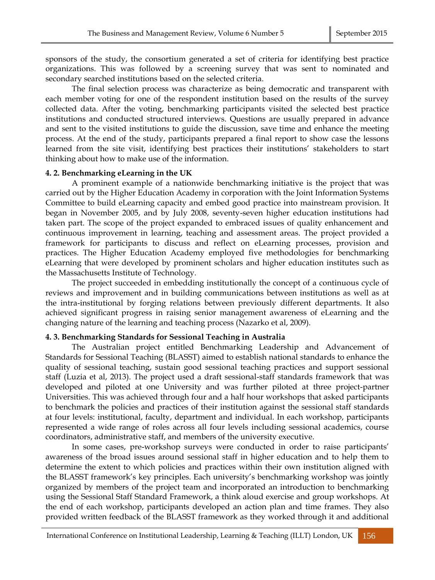sponsors of the study, the consortium generated a set of criteria for identifying best practice organizations. This was followed by a screening survey that was sent to nominated and secondary searched institutions based on the selected criteria.

The final selection process was characterize as being democratic and transparent with each member voting for one of the respondent institution based on the results of the survey collected data. After the voting, benchmarking participants visited the selected best practice institutions and conducted structured interviews. Questions are usually prepared in advance and sent to the visited institutions to guide the discussion, save time and enhance the meeting process. At the end of the study, participants prepared a final report to show case the lessons learned from the site visit, identifying best practices their institutions' stakeholders to start thinking about how to make use of the information.

## **4. 2. Benchmarking eLearning in the UK**

A prominent example of a nationwide benchmarking initiative is the project that was carried out by the Higher Education Academy in corporation with the Joint Information Systems Committee to build eLearning capacity and embed good practice into mainstream provision. It began in November 2005, and by July 2008, seventy-seven higher education institutions had taken part. The scope of the project expanded to embraced issues of quality enhancement and continuous improvement in learning, teaching and assessment areas. The project provided a framework for participants to discuss and reflect on eLearning processes, provision and practices. The Higher Education Academy employed five methodologies for benchmarking eLearning that were developed by prominent scholars and higher education institutes such as the Massachusetts Institute of Technology.

The project succeeded in embedding institutionally the concept of a continuous cycle of reviews and improvement and in building communications between institutions as well as at the intra-institutional by forging relations between previously different departments. It also achieved significant progress in raising senior management awareness of eLearning and the changing nature of the learning and teaching process (Nazarko et al, 2009).

## **4. 3. Benchmarking Standards for Sessional Teaching in Australia**

The Australian project entitled Benchmarking Leadership and Advancement of Standards for Sessional Teaching (BLASST) aimed to establish national standards to enhance the quality of sessional teaching, sustain good sessional teaching practices and support sessional staff (Luzia et al, 2013). The project used a draft sessional-staff standards framework that was developed and piloted at one University and was further piloted at three project-partner Universities. This was achieved through four and a half hour workshops that asked participants to benchmark the policies and practices of their institution against the sessional staff standards at four levels: institutional, faculty, department and individual. In each workshop, participants represented a wide range of roles across all four levels including sessional academics, course coordinators, administrative staff, and members of the university executive.

In some cases, pre-workshop surveys were conducted in order to raise participants' awareness of the broad issues around sessional staff in higher education and to help them to determine the extent to which policies and practices within their own institution aligned with the BLASST framework's key principles. Each university's benchmarking workshop was jointly organized by members of the project team and incorporated an introduction to benchmarking using the Sessional Staff Standard Framework, a think aloud exercise and group workshops. At the end of each workshop, participants developed an action plan and time frames. They also provided written feedback of the BLASST framework as they worked through it and additional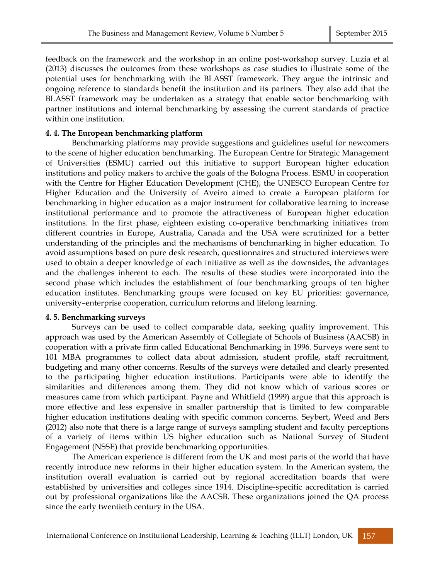feedback on the framework and the workshop in an online post-workshop survey. Luzia et al (2013) discusses the outcomes from these workshops as case studies to illustrate some of the potential uses for benchmarking with the BLASST framework. They argue the intrinsic and ongoing reference to standards benefit the institution and its partners. They also add that the BLASST framework may be undertaken as a strategy that enable sector benchmarking with partner institutions and internal benchmarking by assessing the current standards of practice within one institution.

## **4. 4. The European benchmarking platform**

Benchmarking platforms may provide suggestions and guidelines useful for newcomers to the scene of higher education benchmarking. The European Centre for Strategic Management of Universities (ESMU) carried out this initiative to support European higher education institutions and policy makers to archive the goals of the Bologna Process. ESMU in cooperation with the Centre for Higher Education Development (CHE), the UNESCO European Centre for Higher Education and the University of Aveiro aimed to create a European platform for benchmarking in higher education as a major instrument for collaborative learning to increase institutional performance and to promote the attractiveness of European higher education institutions. In the first phase, eighteen existing co-operative benchmarking initiatives from different countries in Europe, Australia, Canada and the USA were scrutinized for a better understanding of the principles and the mechanisms of benchmarking in higher education. To avoid assumptions based on pure desk research, questionnaires and structured interviews were used to obtain a deeper knowledge of each initiative as well as the downsides, the advantages and the challenges inherent to each. The results of these studies were incorporated into the second phase which includes the establishment of four benchmarking groups of ten higher education institutes. Benchmarking groups were focused on key EU priorities: governance, university–enterprise cooperation, curriculum reforms and lifelong learning.

# **4. 5. Benchmarking surveys**

Surveys can be used to collect comparable data, seeking quality improvement. This approach was used by the American Assembly of Collegiate of Schools of Business (AACSB) in cooperation with a private firm called Educational Benchmarking in 1996. Surveys were sent to 101 MBA programmes to collect data about admission, student profile, staff recruitment, budgeting and many other concerns. Results of the surveys were detailed and clearly presented to the participating higher education institutions. Participants were able to identify the similarities and differences among them. They did not know which of various scores or measures came from which participant. Payne and Whitfield (1999) argue that this approach is more effective and less expensive in smaller partnership that is limited to few comparable higher education institutions dealing with specific common concerns. Seybert, Weed and Bers (2012) also note that there is a large range of surveys sampling student and faculty perceptions of a variety of items within US higher education such as National Survey of Student Engagement (NSSE) that provide benchmarking opportunities.

The American experience is different from the UK and most parts of the world that have recently introduce new reforms in their higher education system. In the American system, the institution overall evaluation is carried out by regional accreditation boards that were established by universities and colleges since 1914. Discipline-specific accreditation is carried out by professional organizations like the AACSB. These organizations joined the QA process since the early twentieth century in the USA.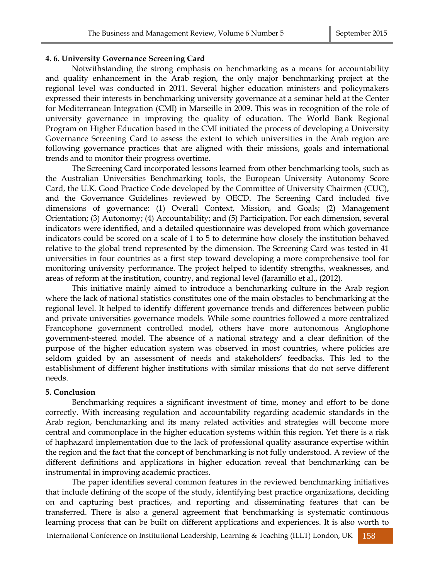#### **4. 6. University Governance Screening Card**

Notwithstanding the strong emphasis on benchmarking as a means for accountability and quality enhancement in the Arab region, the only major benchmarking project at the regional level was conducted in 2011. Several higher education ministers and policymakers expressed their interests in benchmarking university governance at a seminar held at the Center for Mediterranean Integration (CMI) in Marseille in 2009. This was in recognition of the role of university governance in improving the quality of education. The World Bank Regional Program on Higher Education based in the CMI initiated the process of developing a University Governance Screening Card to assess the extent to which universities in the Arab region are following governance practices that are aligned with their missions, goals and international trends and to monitor their progress overtime.

The Screening Card incorporated lessons learned from other benchmarking tools, such as the Australian Universities Benchmarking tools, the European University Autonomy Score Card, the U.K. Good Practice Code developed by the Committee of University Chairmen (CUC), and the Governance Guidelines reviewed by OECD. The Screening Card included five dimensions of governance: (1) Overall Context, Mission, and Goals; (2) Management Orientation; (3) Autonomy; (4) Accountability; and (5) Participation. For each dimension, several indicators were identified, and a detailed questionnaire was developed from which governance indicators could be scored on a scale of 1 to 5 to determine how closely the institution behaved relative to the global trend represented by the dimension. The Screening Card was tested in 41 universities in four countries as a first step toward developing a more comprehensive tool for monitoring university performance. The project helped to identify strengths, weaknesses, and areas of reform at the institution, country, and regional level (Jaramillo et al., (2012).

This initiative mainly aimed to introduce a benchmarking culture in the Arab region where the lack of national statistics constitutes one of the main obstacles to benchmarking at the regional level. It helped to identify different governance trends and differences between public and private universities governance models. While some countries followed a more centralized Francophone government controlled model, others have more autonomous Anglophone government-steered model. The absence of a national strategy and a clear definition of the purpose of the higher education system was observed in most countries, where policies are seldom guided by an assessment of needs and stakeholders' feedbacks. This led to the establishment of different higher institutions with similar missions that do not serve different needs.

#### **5. Conclusion**

Benchmarking requires a significant investment of time, money and effort to be done correctly. With increasing regulation and accountability regarding academic standards in the Arab region, benchmarking and its many related activities and strategies will become more central and commonplace in the higher education systems within this region. Yet there is a risk of haphazard implementation due to the lack of professional quality assurance expertise within the region and the fact that the concept of benchmarking is not fully understood. A review of the different definitions and applications in higher education reveal that benchmarking can be instrumental in improving academic practices.

The paper identifies several common features in the reviewed benchmarking initiatives that include defining of the scope of the study, identifying best practice organizations, deciding on and capturing best practices, and reporting and disseminating features that can be transferred. There is also a general agreement that benchmarking is systematic continuous learning process that can be built on different applications and experiences. It is also worth to

International Conference on Institutional Leadership, Learning & Teaching (ILLT) London, UK 158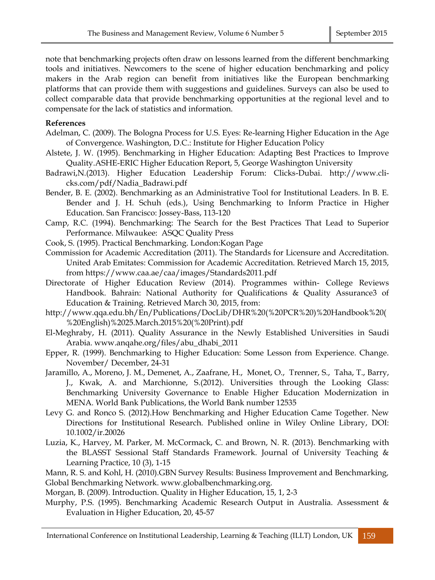note that benchmarking projects often draw on lessons learned from the different benchmarking tools and initiatives. Newcomers to the scene of higher education benchmarking and policy makers in the Arab region can benefit from initiatives like the European benchmarking platforms that can provide them with suggestions and guidelines. Surveys can also be used to collect comparable data that provide benchmarking opportunities at the regional level and to compensate for the lack of statistics and information.

# **References**

- Adelman, C. (2009). The Bologna Process for U.S. Eyes: Re-learning Higher Education in the Age of Convergence. Washington, D.C.: Institute for Higher Education Policy
- Alstete, J. W. (1995). Benchmarking in Higher Education: Adapting Best Practices to Improve Quality.ASHE-ERIC Higher Education Report, 5, George Washington University
- Badrawi,N.(2013). Higher Education Leadership Forum: Clicks-Dubai. [http://www.cli](http://www.cli-cks.com/pdf/Nadia_Badrawi.pdf)[cks.com/pdf/Nadia\\_Badrawi.pdf](http://www.cli-cks.com/pdf/Nadia_Badrawi.pdf)
- Bender, B. E. (2002). Benchmarking as an Administrative Tool for Institutional Leaders. In B. E. Bender and J. H. Schuh (eds.), Using Benchmarking to Inform Practice in Higher Education. San Francisco: Jossey-Bass, 113-120
- Camp, R.C. (1994). Benchmarking: The Search for the Best Practices That Lead to Superior Performance. Milwaukee: ASQC Quality Press
- Cook, S. (1995). Practical Benchmarking. London:Kogan Page
- Commission for Academic Accreditation (2011). The Standards for Licensure and Accreditation. United Arab Emitates: Commission for Academic Accreditation. Retrieved March 15, 2015, from https://www.caa.ae/caa/images/Standards2011.pdf
- Directorate of Higher Education Review (2014). Programmes within- College Reviews Handbook. Bahrain: National Authority for Qualifications & Quality Assurance3 of Education & Training. Retrieved March 30, 2015, from:
- [http://www.qqa.edu.bh/En/Publications/DocLib/DHR%20\(%20PCR%20\)%20Handbook%20\(](http://www.qqa.edu.bh/En/Publications/DocLib/DHR%20(%20PCR%20)%20Handbook%20(%20English)%2025.March.2015%20(%20Print).pdf) [%20English\)%2025.March.2015%20\(%20Print\).pdf](http://www.qqa.edu.bh/En/Publications/DocLib/DHR%20(%20PCR%20)%20Handbook%20(%20English)%2025.March.2015%20(%20Print).pdf)
- El-Meghraby, H. (2011). Quality Assurance in the Newly Established Universities in Saudi Arabia. www.anqahe.org/files/abu\_dhabi\_2011
- Epper, R. (1999). Benchmarking to Higher Education: Some Lesson from Experience. Change. November/ December, 24-31
- Jaramillo, A., Moreno, J. M., Demenet, A., Zaafrane, H., Monet, O., Trenner, S., Taha, T., Barry, J., Kwak, A. and Marchionne, S.(2012). Universities through the Looking Glass: Benchmarking University Governance to Enable Higher Education Modernization in MENA. World Bank Publications, the World Bank number 12535
- Levy G. and Ronco S. (2012).How Benchmarking and Higher Education Came Together. New Directions for Institutional Research. Published online in Wiley Online Library, DOI: 10.1002/ir.20026
- Luzia, K., Harvey, M. Parker, M. McCormack, C. and Brown, N. R. (2013). Benchmarking with the BLASST Sessional Staff Standards Framework. Journal of University Teaching & Learning Practice, 10 (3), 1-15
- Mann, R. S. and Kohl, H. (2010).GBN Survey Results: Business Improvement and Benchmarking*,* Global Benchmarking Network. www.globalbenchmarking.org.
- Morgan, B. (2009). Introduction. Quality in Higher Education, 15, 1, 2-3
- Murphy, P.S. (1995). Benchmarking Academic Research Output in Australia. Assessment & Evaluation in Higher Education, 20, 45-57